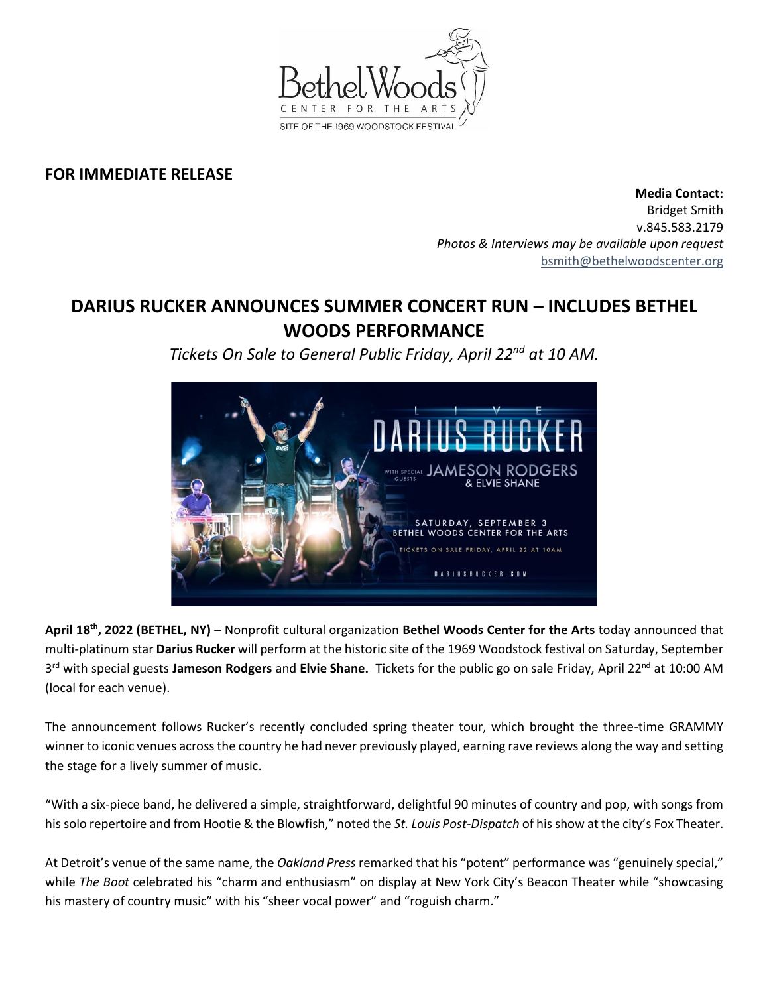

## **FOR IMMEDIATE RELEASE**

**Media Contact:**  Bridget Smith v.845.583.2179 *Photos & Interviews may be available upon request* [bsmith@bethelwoodscenter.org](mailto:bsmith@bethelwoodscenter.org)

## **DARIUS RUCKER ANNOUNCES SUMMER CONCERT RUN – INCLUDES BETHEL WOODS PERFORMANCE**

*Tickets On Sale to General Public Friday, April 22nd at 10 AM.*



April 18<sup>th</sup>, 2022 (BETHEL, NY) – Nonprofit cultural organization Bethel Woods Center for the Arts today announced that multi-platinum star **Darius Rucker** will perform at the historic site of the 1969 Woodstock festival on Saturday, September 3 rd with special guests **Jameson Rodgers** and **Elvie Shane.** Tickets for the public go on sale Friday, April 22nd at 10:00 AM (local for each venue).

The announcement follows Rucker's recently concluded spring theater tour, which brought the three-time GRAMMY winner to iconic venues across the country he had never previously played, earning rave reviews along the way and setting the stage for a lively summer of music.

"With a six-piece band, he delivered a simple, straightforward, delightful 90 minutes of country and pop, with songs from his solo repertoire and from Hootie & the Blowfish," noted the *St. Louis Post-Dispatch* of his show at the city's Fox Theater.

At Detroit's venue of the same name, the *Oakland Press* remarked that his "potent" performance was "genuinely special," while *The Boot* celebrated his "charm and enthusiasm" on display at New York City's Beacon Theater while "showcasing his mastery of country music" with his "sheer vocal power" and "roguish charm."